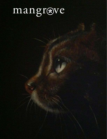# mangrove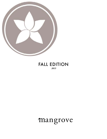

#### FALL EDITION  *2015*

# mangrove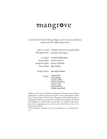# mangrove

*Created by the Creative Writing Program at the University of Miami. Sponsored by the English Department.* 

> *Editor in Chief* Chantal Gabriel & Cassandra Ruiz *Managing Editor* Jonathan Harrington

|                                   | Art Editor Anahita Mohtasham |
|-----------------------------------|------------------------------|
|                                   | Fiction Editor Annissa Omran |
| Nonfiction Editor Amira Al-Khatib |                              |
| <b>Poetry Editor</b> Jalen Eutsey |                              |
|                                   |                              |

*Faculty Advisor* Jaswinder Bolina

*Readers* Alyssa Bolt Carla Botha David Colbus Daniel Gizachew Annie Louk Diana Rodon Aaisha Sanaullah

*Mangrove is the University of Miami's undergraduate literary journal, publishing quality fiction, nonfiction, poetry, and art from current undergraduate students from a variety of majors and universities. Mangrove is edited and designed by an undergraduate staff and is sponsored by the Department of English and advised and managed by its MFA students and faculty. For additional information, please visit mangrovejournal.com. printed in the United States. Cover art by Natasha Ruiz, Hollow..* 

*© 2015 Mangrove. All rights reserved. No reproduction or use without permission.*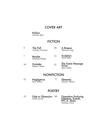#### COVER ART

#### Hollow *Natasha Ruiz*

### **FICTION**

- 5 The Fall *Timothy Schreiner* A Breexe *Hannah Long* 36
- 7 Maybe *Miranda Winger* **Sculptors** *Heidi Billy* 51
- 10 **Outsider** *Eleanor Stelter* The Same Message Twice *Ryan Inkley* 61

#### **NONFICTION**

47 Negligence *Paul Ashton* 77 Elements *Heather Wilson*

#### **POETRY**

33 Ode to Obsession 60 *Nikole Jewell*

Operation Enduring Freedom, Somali, PFC A. Shaw *Nicholas Finch*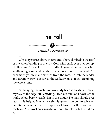### The Fall



 I'm sixty stories above the ground. I have climbed to the roof of the tallest building in the city. Cold wind surfs over the rooftop, chilling me. The cold, I can handle. I grow dizzy as the wind gently nudges me and beads of sweat form on my forehead. An enormous yellow crane extends from the roof. I climb the ladder and carefully crawl out across the walkway on all fours, trembling the whole time.

 I'm hugging the metal walkway. My head is swirling. I make my way to the edge, still crawling. I lean out and look down at the traffic below, barely visible. I'm in the clouds. No man should ever reach this height. Maybe I've simply grown too comfortable on familiar terrain. Perhaps I simply don't trust myself to not make mistakes. My throat burns as a bit of vomit travels up, but I swallow it.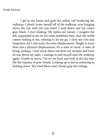I get to my knees and grab the yellow rail bordering the walkway. I slowly lower myself off of the walkway, now hanging above the city with just one hand. I look down and my vision goes black. I start shaking. My palms are sweaty. I imagine the fall, suspended in the air for some indefinite time, then the world comes rushing at me, refusing to let me go. I close my eyes and hang here, yet I still sense the eerie displacement. Height is more than just a physical displacement. It's a state of mind. A state of being, perhaps. I feel sweat shoot out from my armpits and trace its way down my sides. I manage to pull myself onto the walkway again. Unable to move, I lie on my back and look at the sky, into the the expanse of gray clouds. Looking up is just as sickening as looking down. The wind blows and I firmly grip the railings.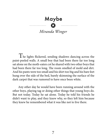# Maybe

### *Miranda Winger*

 $T$ he lights flickered, sending shadows dancing across the paint-peeled walls. A small boy that had been there far too long sat alone on the moth-eaten cot he shared with two other boys that had been there far too long. The room smelled of mold and dirt. And his pants were too small and his shirt too big and his bare feet hung over the side of the bed, barely skimming the surface of the dark carpet that was rumored to have once been white.

 Any other day he would have been running around with the other boys, playing tag or doing other things that young boys do. But not today. Today he sat alone. Today he told his friends he didn't want to play, and they knew why, so they left him because they knew he remembered what it was like not to live there.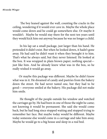The boy leaned against the wall, counting the cracks in the ceiling, wondering if it would ever cave in. Maybe the whole place would come down and he could go somewhere else. Or maybe it wouldn't. Maybe he would stay there for the next ten years until they would kick him out anyway because he was no longer a child.

 In his lap sat a small package, just larger than his hand. He pretended it didn't exist. But when he looked down, it hadn't gone away. He had said he didn't want it when they brought it to him. That's what he always said, but they never listened. He looked at the box. It was wrapped in plain brown paper; nothing special just like him. And he already knew what was in the box, so he really wished it would go away.

 Or maybe this package was different. Maybe he didn't know what was in it. He dreamed of candy and pastries from the bakery down the street. He had never tasted one, but they had to be good— everyone smiled at the bakery. His package did not make him smile.

 He thought of the people outside his window and watched the carriages go by. He had been in one of those the night he came; not knowing it would be permanent. She said she would come back, but he had long since stopped waiting and stopped trying to remember her face. But maybe today would be different. Maybe today someone else would come in a carriage and take him away. Maybe he would go to a big house and sleep in a real bed.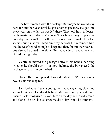The boy fumbled with the package. But maybe he would stay here for another year until he got another package. He got one every year on the day he was left there. They told him, it doesn't really matter what day you're born. So each year he got a package on a day that wasn't his birthday. It was meant to make him feel special, but it just reminded him why he wasn't. It reminded him that he wasn't good enough to keep and that, for another year, no one else had wanted him either. But maybe, just maybe, they had picked the right day.

Gently he moved the package between his hands, deciding whether he should open it or not. Sighing, the boy placed the package next to him on the bed.

"Jack." The door opened. It was Ms. Weston. "We have a new boy, it's his birthday too."

Jack looked and saw a young boy, maybe age five, clutching a small suitcase. He stood behind Ms. Weston, eyes wide and unsure. Jack recognized his own face on the day he arrived, scared and alone. The two locked eyes; maybe today would be different.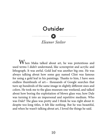### **Outsider**

*Eleanor Stelter*

 $\bullet$   $\bullet$ 

When Maka talked about art, he was pretentious and used terms I didn't understand, like screenprint and acrylic and lithograph. It was awful. Gold leaf was another big one. He was always talking about how some guy named Clint was famous for using a gold leaf in his paintings. Thanks to him, I have seen endless thumbnails of art— thousands of Google searches that turn up hundreds of the same image in slightly different sizes and colors. He took me to the glass museum one weekend, and talked about how boring the exploitation of blown glass was; how Dale was turning it into an impersonal and repetitive medium. Who was Dale? The glass was pretty and I think he was right about it: despite too-long titles, it felt like nothing. But he was beautiful, and when he wasn't talking about art, I loved the things he said.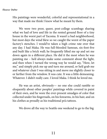His paintings were wonderful, colorful and representational in a way that made me think I knew what he meant by them.

We were two poor, queer, post-college scumbags sharing what we had of love and life in the rented ground floor of a tiny house in the worst part of Tacoma. It wasn't a bad neighborhood, but most days the wind blew so we caught the worst of the paper factory's stenches. I would've taken a high crime rate over that any day. I had Maka. He was full-blooded Samoan, six-foot-five and built like a brick wall; he frequently lifted me up and set me down again in a different place. He did it the most when he was painting me – he'd always make some comment about the light, and then when I turned the wrong way he would say, "Here, let me," and simply pick me up and turn me around, or he'd grab me and whatever chair I was sitting in and move me slightly closer to or farther from the window. It was cute. It was a little demeaning. Whatever. I didn't really care. I loved Maka. I think he loved me.

He was an artist, obviously— no one else could ramble so eloquently about other peoples' paintings while covered in paint of their own, and he wore the ever-present smudges of color that collected under his fingernails, on his forearms, in his hair, and on his clothes as proudly as his traditional pe'a tattoos.

We drove all the way to Seattle one weekend to go to the big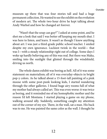museum up there that was four stories tall and had a huge permanent collection. He wanted to see the exhibit on the evolution of modern art. The whole two-hour drive he kept talking about Andy Warhol and how he changed art forever.

"Wasn't that the soup can guy?" I asked at some point, and he shot me a look that said I was better off keeping my mouth shut. I was here to listen, and learn. It wasn't as though I knew anything about art: I was just a third-grade public school teacher. I smiled despite my own ignorance. Luckiest twink in the world— that was I—with a steady relationship right out of college. Some days I woke up hardly believing any of this was real. But there was Maka, smiling into the sunlight that glinted through the windshield, driving us north.

The whole damn exhibit was boring as hell. All of it was some statement on materialism; all of it was everyday-objects in bright pop-y colors. As he talked about a 15-foot-tall painting of a pink moose with some post-punk looking kids, I started wandering through the other galleries. I found huge airy rooms full of what my mother had always called art. This was even worse: it was twice as boring, and it reminded me of my homophobic mother and the reason I'd left Montana. I started playing a game on my phone, walking around idly. Suddenly, something caught my attention out of the corner of my eye. There, in the wall, sat a man. His back was to me. He was painted the same color as the wall. I thought he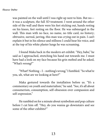was painted on the wall until I was right up next to him. But no it was a sculpture, the full 3D treatment. I went around the other side of the wall and there were his feet sticking out, hands resting on his knees, feet resting on the floor. He was submerged in the wall. This man with no face, no name, no title card, no history; obtrusive, surreal, jarring, this man was crying out in pain. I can't explain it but in his silence and stillness I could hear his voice, and at the top of his white plaster lungs he was screaming.

I found Maka back in the modern art exhibit. "Hey, babe," he said as I approached, stretching his hand out towards me. I must have had a look on my face because his grin melted and he asked, "What's wrong?"

"What? Nothing – I – nothing's wrong," I fumbled. "So what're you, uh, what are we looking at here?"

Maka gestured towards the installation before us. "It's a commentary on youth and materialism," he said. "See, it's all about consumerism, consumption, self-obsession over compassion and self-expression."

He rambled on for a minute about symbolism and pop culture before I cut him off. "Hey, do you wanna go downstairs and see some of the other exhibits?"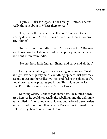"I guess." Maka shrugged. "I don't really – I mean, I hadn't really thought about it. What's there to see?"

"Uh, there's the permanent collection," I grasped for a worthy description. "And there's one that's like, Indian modern art, I think?"

"Indian as in from India or as in Native American? Because you know how I feel about you white people saying Indian when you don't mean from India..."

"No, no, from India Indian. Ghandi and curry and all that."

I was joking but he gave me a warning look anyway. "Yeah, all right. I've seen pretty much everything up here. Just give me a second to get another collective look and feel of the place. You're not allowed to take pictures you know. This might be the last time I'm in the room with a real Barbara Kruger."

Knowing Maka, I seriously doubted that. He hunted down art wherever he could, especially the rebellious and the definitive, as he called it. I don't know what it was, but he loved queer artists and artists of color more than anyone I've ever met. It made him feel like they shared something, I think.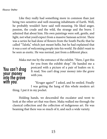Like they really had something more in common than just being two sensitive and well-meaning inhabitants of Earth. Well, he probably wouldn't have said well-meaning. He liked anger, passion, the crude and the wild, the strange and the brave. I admired that about him. His own paintings were soft, gentle, and light, not what you'd expect from a massive Samoan activist. There was a series he had done of flowers from the South Pacific that he called "Talofa," which just meant hello, but he had explained that it was a sort of welcoming people into his world. He didn't want to be seen as exotic. He was normal, just from a different place.

You can't drag your money into the grave Maka met me by the entrance of the exhibit. "Here, I got this for you from the exhibit shop." He handed me a postcard with a picture of a pair of loafers on it. It read, You can't drag your money into the grave with you.

with you. "Kruger again?" I asked, and he smiled. Finally I was getting the hang of this whole modern art thing. I put it in my pocket.

> Holding hands, we descended the escalator and went to look at the other art that was there. Maka walked me through the classical collection and the collection of indigenous art. He was beaming that there was so much of it, and such a wide variety.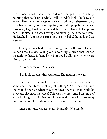"This one's called *Leaves,*" he told me, and gestured to a huge painting that took up a whole wall. It didn't look like leaves; it looked like the white water of a river— white brushstrokes on a navy background, none overlapping; each taking up its own space. It was easy to get lost in the static detail of each stroke, but stepping back, it looked like it was flowing and moving. I said that out loud. He laughed. "I'd trust the artist on this one, babe," he said, and we went on.

Finally we reached the screaming man in the wall. He was louder now. He was yelling out a warning, a siren that echoed through my head. It fixated me. I stopped walking when we were directly behind him.

"Steven, come on," Maka said.

"But look...look at this sculpture. The man in the wall."

The man in the wall sat, back to us. Did he have a head somewhere that stared, eyelessly, at nothing? Did he have a mouth that would open up when they tore down the wall; that would let everyone else hear his voice? This was the first time I lost myself while looking at art, I think, and I mean really lost – I had so many questions about him, about where he came from, about why.

After a minute, Maka sighed. "Honestly? Not terribly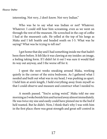interesting. Not very...I don't know. Not very Indian."

Who was he to say what was Indian or not? Whatever. Whatever. I could still hear him screaming, even as we went on through the rest of the museum. He screeched in the cup of coffee I had at the museum's cafe. He yelled at the top of his lungs as Maka and I left Seattle and headed south on I-5. What was he saying? What was he trying to tell me?

I got home that day and I had something inside me that hadn't been there before. It felt like it was clawing at my insides: an image, a feeling taking form. If I didn't let it out I was sure it would find its way out anyway, and I the worse off for it.

I spent the next weeks sneaking around Maka, working quietly in the corner of the extra bedroom. As I gathered what I needed and built out what was in my head, I was pushing us apart. I held him at arm's length, I held everything away from myself so that I could observe and measure and construct what I needed to.

A month passed. "You're acting weird," Maka told me one morning as I woke beside him and turned away almost immediately. He was twice my size and easily could have pinned me to the bed if he'd wanted. But he didn't. Now, I think that's why I was with him in the first place; there was great strength and great self-control in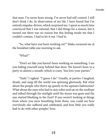that man. I've never been strong. I've never had self-control. I still don't think I do. In observation of my life, I have found that I'm entirely impulse-driven, which surprised me. I spent so much time convinced that I was rational, that I did things for a reason, but it turned out there was no reason but this feeling inside me that I couldn't contain. I had to let it out. I had to.

"So, what have you been working on?" Maka cornered me at the breakfast table one morning to ask.

"What?"

"Don't act like you haven't been working on something. I see you hiding yourself away behind that door. We haven't been to a party in almost a month, which is crazy. You love your parties."

"Yeah," I sighed. "I guess I do." Usually, at parties I laughed, drank, and sang till the world was spinning gloriously. But what about the people who threw up quietly in the upstairs bathrooms? What about the ones who had to stay sober and sat on the rooftops and talked through the starlight until the moon was gone and the sun started blushing in the East? If you weren't looking at things from where you were benefiting from them, you could see how everybody else suffered and celebrated, and how little you really had to do with other peoples' lives.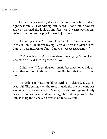I got up and carried my dishes to the sink. I must have walked right past him, still wondering, still dazed. I don't know how far away or worried the look on my face was, I wasn't paying any serious attention to the physical world just then.

"Hello? Spaceman?" he said. I ignored him. "Ground control to Major Tom?" He started to sing. "Can you hear me, Major Tom? Can you hear me, Major Tom? Can you heeeeeeaaaaaarrrrr -"

"Yes! I can hear you!" I boomed over his singing. "Good God, let a man do his dishes in peace, will you?!"

"Shit, Steven." He got that look on his face that spoiled kids get when they're about to throw a tantrum. But he didn't say anything more.

The dish soap made bubbling swirls as I cleaned. It was so beautiful. The sunlight on the trees outside the kitchen windows was golden and steady, even in March; already a strange and lovely day was upon us. Insult and injury forgotten but unapologized for, I finished up the dishes and started off to take a walk.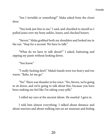"Am I invisible or something?" Maka asked from the closet door.

"You look just fine to me," I said, and chuckled to myself as I pulled jeans over my bony ankles, knees, and checked boxers.

"Steven." Maka grabbed both my shoulders and looked me in the eye. "Stop for a second. We have to talk."

"What do we have to talk about?" I asked, buttoning and zipping my pants without looking down.

"You know."

"I really fucking don't." Maka's hands were too heavy and too warm. "Babe, let me go."

"No." There was thunder in his voice. "No, Steven, we're going to sit down, and we're going to talk about this, because you have been making me feel like I'm taking crazy pills."

I rolled my eyes at the ancient idiom. He snarled. I gave in.

I told him almost everything. I talked about distance and about sunrises and about walking into an art museum and feeling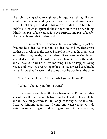like a child being asked to engineer a bridge. I said things like you wouldn't understand and I just need some space and how I was so tired of not being included in his world. I didn't lie to him but I didn't tell him what I spent all those hours off in the corner doing. I think that part of me wanted it to be a surprise and part of me felt like he really wouldn't understand.

 The room swelled with silence, full of everything I'd just set free, and he didn't look at me and I didn't look at him. There were clothes on the floor in the closet. I stared at them, at the mountains and valleys they made, and wondered if we were as simple as a wrinkled shirt, if I could just iron it out, hang it up for the night, and all would be well the next morning. I hadn't stopped loving Maka, and I wanted everything to be as it had always been, but he had to know that I wasn't in the same place he was in all the time.

"Fine," he said finally. "If that's what you really want."

"What? What do you think I want?"

 There was a long breadth of air between us. From the other side of the rift I had carved between us I watched his tears fall, fat and in the strangest way, still full of quiet strength. Just like him. I started thinking about tears flexing tiny watery muscles, little watery arms reaching out and curling to show off how much they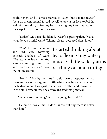could bench, and I almost started to laugh, but I made myself focus on the moment. I forced myself to look at his face, to feel the weight of my skin, to feel my heart beating, my toes digging into the carpet on the floor of the closet.

"Maka?" My voice shuddered. I wasn't expecting that. "Maka, what do you think I want? Tell me, please, because I don't know."

 "You," he said, shaking and red, eyes wavering beneath blankets of tears, "You want to leave me. You want air and light and time and space and you can't have that if I'm around."

I started thinking about tears flexing tiny watery muscles, little watery arms reaching out and curling

"No, I –" But by the time I could form a response he had risen and walked away, and a little while later he came back into the bedroom but it was just to grab some clothes and throw them in the old, heavy suitcase he always insisted was practical.

"Where are you going? What are you going to do?"

He didn't look at me. "I don't know, but anywhere is better than here."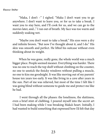*Eleanor Stelter*

"Maka, I don't –" I sighed. "Maka I don't want you to go anywhere. I don't want to leave you, or for us to take a break. I want you to stay here, and I'll cook for us, and we can go to the movies later, and..." I ran out of breath. My face was too warm and suddenly soaking wet.

"Maybe you don't want to take a break." His eyes were a dry and infinite brown. "But now I've thought about it, and I do." His skin was smooth and perfect. He lifted his suitcase without even thinking about its weight.

When he was gone, really gone, the whole world was a much bigger place. People seemed meaner. Everything was harder. There was no one to reach the top shelf without climbing on the counter, no one to unstick the finicky windows without pulling a muscle, no one to kiss me goodnight. It was like moving out of my parents' house ten years too early. It was like living in a cave after years in the sun. Part of me was relieved, but most of the time I felt like I was going blind without someone to guide me and protect me like he had.

 I went through all the phases: the loneliness, the sluttiness, even a brief stint of clubbing. I poured myself into the secret art I had been making while I was breaking Maka's heart. Initially, I had wanted to build something that expressed how I'd felt that day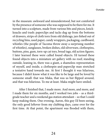in the museum: awkward and misunderstood, but not comforted by the presence of someone who was supposed to be there for me. It turned into a sculpture, made from various bits and pieces, knickknacks and trash: paperclips and tacks dug up from the bottoms of drawers, strips of cloth torn from old dishrags, jars fished out of recycling bins, used paper, candy wrappers, packaging, cardboard, whistles (the people of Tacoma throw away a surprising number of whistles), sunglasses, broken dishes, old silverware, clothespins, buttons, pins, gum, torn-up cat toys, bread tags, old action figures. I later learned these were called found objects. I'd turned these found objects into a miniature art gallery with no roof; standing outside, leaning in, there was a giant, a shameless representation of myself, and inside, a clothespin-and-paperclip man stretched a tentative hand towards me. At first I thought it was hilarious, because I didn't know what it was like to be large and be loved by someone small: that was Maka, that was us but flipped around, and that was hilarious. To me at least. Maka might have smiled.

After I finished that, I made more. And more, and more, and I made them for six months, and I worked two jobs – as a thirdgrade teacher and a weekend gas station attendant – so that I could keep making them. One evening, Aaron, this guy I'd been seeing, the only good leftover from my clubbing days, came over for the first time. At that point, the apartment was flooded with them,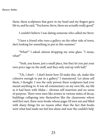them, these sculptures that grew in my head and my fingers gave life to, and he said, "You know, Steve, these are actually really good."

I couldn't believe I was dating someone who called me Steve.

 "I have a friend who runs a gallery on the other side of town, she's looking for something to put in this summer."

"What?" I asked, almost dropping my wine glass. "I mean, what?"

"Yeah, you know, just a small place, but they let you put your own price tags on the stuff, and they only end up with half."

"Uh, I don't – I don't know how I'd make this, uh, make this cohesive enough to put in a gallery," I stammered. Let alone sell them, I thought. I was the only person these sculptures had ever meant anything to. It was all commentary on my own life, my life as it had been with Maka— obvious self-insertion and no sense of purpose. There were men like armies in various states of decay, buildings collapsing into themselves like the classrooms where we'd first met, there were books whose pages I'd torn out and filled with sharp things for no reason other than the fact that books were what had made me feel less alone and now the couldn't help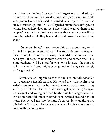me shake that feeling. The worst and largest was a cathedral, a church like those my mom used to take me to, with a smiling bride and groom (someone's used, discarded cake topper I'd been so lucky to snatch up) and "NEVER" spelled out in those refrigerator letters. Somewhere deep in me, I knew that I wanted them to fill peoples' heads with noise the same way that man in the wall had mine, but what would they hear and what if no one heard anything at all?

"Come on, Steve." Aaron looped his arm around my waist. "I'll tell her you're interested, send her some pictures, you spend the next couple of months throwing titles and descriptions on these bad boys, I'll help, we walk away better off and clutter-free! Plus, some publicity will be good for you. Who knows..." he stooped to kiss my neck, "...you might even get out of that gas station gig you've got going."

Aaron was an English teacher at the local middle school, a very persuasive English teacher. He helped me write my first ever artist's statement and put into words everything I meant to say with my sculptures. His friend who was a gallery curator, Morgan, was elegant and young and had bright blue hip-length hair. She wore it in beautiful knots or braids as it swished around her like water. She helped me, too, because I'd never done anything like this before. "It's fine," she'd always say when I didn't know how to do something on my own.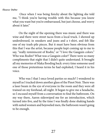#### *Eleanor Stelter*

 Once when I was being finicky about the lighting she told me, "I think you're having trouble with this because you know what you want but you're embarrassed, but just choose, and worry about it later."

 On the night of the opening there was music and there was wine and there were street tacos from a local truck. I showed up underdressed, in sneakers and jeans and a t-shirt, and felt like one of my trash-pile pieces. But it must have been obvious from this that I was the artist, because people kept coming up to me to say, "really reminiscent of Rodin," or "I love the Gauguin colors." Who was Rodin? What was a Gauguin color? There were so many compliments that night that I didn't quite understand. It brought all my memories of Maka flooding back: every time someone used one of those pretentious terms he had exploited, I heard it in his voice.

Who was I that I once loved parties so much? I wondered to myself as I tracked down another glass of the Pinot Noir. There was a laser beam in the eye of everyone in the room and they were all trained on my forehead, all night. It began to give me a headache, so I excused myself from a conversation to find the bathroom. On my way there, Aaron sideswiped me for an introduction, which turned into five, and by the time I was finally done shaking hands with suited women and bejeweled men, the bathroom wasn't going to be enough.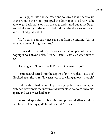So I slipped into the staircase and followed it all the way up to the roof. to the roof. I propped the door open so I knew I'd be able to get back in. I stood on the edge and stared out at the Puget Sound glistening to the north. Behind me, the door swung open and creaked gently shut.

 "So," a thick Samoan voice sang out from behind me, "this is what you were hiding from me."

 I turned. It was Maka, obviously, but some part of me was hoping it was anyone else. "Yeah," I said. What else was there to say?

He laughed. "I guess...well, I'm glad it wasn't drugs."

 I smiled and stared into the depths of my wineglass. "Me too." I looked up at the stars. "It wasn't worth breaking up over, though."

 But maybe it had been. I kept staring up, but I saw that great distance between us that now would never close: we were universes apart, and we always had been.

A sound split the air, breaking my profound silence. Maka had farted. "Oh, my god," he whispered. "Excuse me."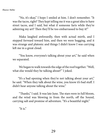"No, it's okay," I hope I smiled at him. I don't remember. "It was the tacos, right? They kept telling me it was a great idea to have street tacos, and I said, but what if someone farts while they're admiring my art? Then they'll be too embarrassed to buy it!"

Maka laughed awkwardly, then with actual mirth, and I stepped forward toward him, and then we were hugging, and it was strange and platonic and things I didn't know I was carrying left me in a great cloud.

"You know, everyone's talking about your art," he said when we separated.

We began to walk towards the edge of the roof together. "Well, what else would they be talking about?" I joked.

 "It's a bad opening when they're not talking about your art," he said. "When they talk about the wine, you know it's bad stuff. I didn't hear anyone talking about the wine."

"Thanks," I said. It was late June. The stars were in full bloom, and the wind was blowing in from the north, off the Sound, carrying salt and promise of adventure. "It's a beautiful night."

"It is."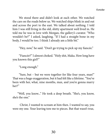We stood there and didn't look at each other. We watched the cars on the roads below us. We watched ships blink in and out and across the port to the east. We talked about nothing. I told him I was still living in the old, shitty apartment we'd lived in. He told me he was in love with Morgan, the gallery's curator. "Who wouldn't be?" I asked, laughing. "If I had a straight bone in my body, I would be too. I think I already am a little bit."

"Hey, now," he said. "Don't go trying to pick up my fiancée."

"Fiancée?" I almost choked. "Holy shit, Maka. How long have you known this girl?"

"Long enough."

"Sure, but – but we were together for like four years, man!" That was a huge exaggeration, but it had felt like a lifetime. "You've been with her, what, nine months, max, and you're gonna marry her?"

 "Well, you know..." He took a deep breath. "She's, you know, she's the one."

 Christ, I wanted to scream at him then. I wanted to say, you were my one. Your leaving tore me to pieces. But that wasn't true,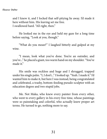and I knew it, and I locked that self-pitying lie away. I'd made it here without him. His leaving set me free. I swallowed hard. "All right, then."

He looked me in the eye and held my gaze for a long time before saying, "Look at you, though."

"What do you mean?" I laughed bitterly and gulped at my wine.

"I mean, look what you've done. You're an outsider, and you've..." he placed a giant, too warm hand on my shoulder. "You've made it."

His smile was reckless and huge and I shrugged, trapped under his single palm. "I, I don't..." I looked up. "Yeah. I made it." I'd wanted him to make it, but here I was instead, being congratulated and celebrated, a trashy, bottom-feeding pseudo-sculptor with an education degree and two stupid jobs.

Me. Not Maka, who knew every painter from every other, who went to every gallery in his every free time, whose paintings were so painstaking and colorful, who actually knew proper art terms. He turned to go, nothing more to say.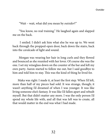"Wait – wait, what did you mean by *outsider*?"

"You know, no real training." He laughed again and slapped me on the back.

 I smiled. I didn't ask him what else he was up to. We went back through the propped-open door, back down the stairs, back into the cavalcade of light and sound.

 Morgan was wearing her hair in long curls and they flowed and bounced as she reunited with her lover. Of course she was the one. I set my wineglass down on the counter of the bar and left my own party. Aaron started to follow me out, but I said goodbye to him and told him to stay. This was the kind of thing he lived for.

 Maka was right: I made it, at least the first step. When I'd left, more than half of my pieces had sold. It was strange, though; it wasn't anything I'd dreamed of when I was younger. It was like living someone else's fantasy. It was like I'd fallen apart and rebuilt myself. But that didn't matter any more. I was the only person I'd spend my whole life with, and all that was left was to create, all that would matter in the end was what I had made.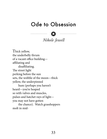### Ode to Obsession



### *Nikole Jewell*

Thick yellow, the underbelly thrum of a vacant office building affiliating and disaffiliating. The street light perking before the sun sets, the wobble of the moon—thick yellow, the underpinned hum (perhaps you haven't heard—you're heaped so with valves and muscles, pulses and hatchet rays of light you may not have gotten the chance). Watch grasshoppers

molt in mid-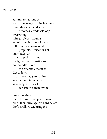autumn for as long as you can manage it. Pinch yourself through silence so deep it becomes a feedback loop. Everything: mirage, object, trauma —unfurling in front of you as if through an augmented peephole. Projections of tar, clouds, or contact, pick anything, really, no discrimination but muddle it into the essential, the fixed. Get it down to cast bronze, glass, or ink, any medium in as dense an arrangement as it can endure, then divide

one more time. Place the grains on your tongue crack them firm against hard palate don't swallow. Or, bring the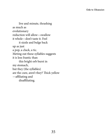live and minute, thrashing as much as evolutionary reduction will allow—swallow it whole—don't taste it. Feel it sizzle and bulge back up as just a pop, a cluck, a tic. Meting out these syllables suggests it is less frantic than this bright orb burst in my stomach, but they (the syllables) are the cure, aren't they? Thick yellow —affiliating and disaffiliating.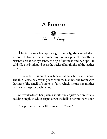### A Breeze

*Hannah Long*

 The fan wakes her up, though ironically, she cannot sleep without it. Not in the summer, anyway. A ripple of smooth air brushes across her eyelashes, the tip of her nose and her lips like cold silk. She blinks and peels the backs of her thighs off the leather couch.

 The apartment is quiet, which means it must be the afternoon. The thick curtains covering each window blankets the room with darkness. The smell of smoke is faint, which means her mother has been asleep for a while now.

 She yanks down her pajama shorts and adjusts her bra straps, padding on plush white carpet down the hall to her mother's door.

She pushes it open with a fingertip. "Mom?"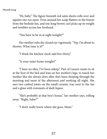"Hi, baby." The figure beneath red satin sheets rolls over and squints one eye open. Frizz around her scalp flutters in the breeze from the bedside fan, and one long brown curl picks up its weight and tumbles across her forehead.

"You have to be in at eight tonight?"

Her mother rubs the closed eye vigorously. "Yep. I'm about to shower. What time is it?"

"I think the kitchen clock said five-thirty."

"Is your sister home tonight?"

 "I have no idea, I've been asleep." Part of Lauren wants to sit at the foot of the bed and lean on her mother's legs, to touch her mother like she always does after she's been sleeping through the morning and most of the afternoon and working all night. She sees two cashed joints on the small ceramic tray next to the fan and a glass with remnants of dark liquor.

"She's probably at that boy's house," her mother says, rolling away. "Right, baby?"

"I don't really know where she goes, Mom."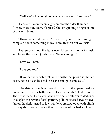"Well, she's old enough to be where she wants, I suppose."

Her sister is seventeen, eighteen months older than her. "Throw these out, Mom, it's gross," she says, poking a finger at one of the joint butts.

 "Throw what out, Lauren? I can't see you. If you're going to complain about something in my room, throw it out yourself."

 Lauren does not. She leans over, kisses her mother's cheek, and leaves the cashed joints there. "Be safe tonight."

"Love you, Brat."

"Love you too."

 "If you see your sister, tell her I bought that phone so she can use it. Not so it can be dead or so she can ignore my calls."

 Her sister's room is at the end of the hall. She opens the door on her way to use the bathroom, but she knows she'll find it empty. The bed is made. Her sister is the neat one. Comforter folded once to display the reverse floral pattern, pillows stacked two-by-two, fan on the desk turned to low, windows cracked open with blinds halfway shut. Some stray clothes on the foot of the bed. Golden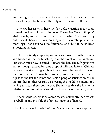evening light falls in shaky stripes across each surface, and the rustle of the plastic blinds is the only noise the room allows.

 She saw her sister in here the day before, getting ready to go to work. Yellow polo with the logo "Dave's Ice Cream Shoppe," khaki shorts, and her favorite pair of dirty white Converse. They didn't speak, because it was morning and they rarely spoke in the mornings—her sister was too functional and she had never been a morning person.

 The kitchen is tidy, empty liquor bottles removed from the counter and hidden in the trash, ashtray crumbs swept off the linoleum. Her sister must have cleaned it before she left. The refrigerator is empty, though, except for some drops of milk and leftover Chinese cartons. Her stomach grumbles in response. She could throw out the food that she knows has probably gone bad, but she leaves it just as she left the joints and feels a pang of satisfaction as she pictures her mother wearily discovering the inedible contents and having to clean them out herself. She notices that the kitchen is relatively spotless but her sister didn't touch the refrigerator, either.

 It seems this is what it has come to, acts of love strained by acts of rebellion and possibly the faintest murmur of hatred.

The kitchen clock reads 5:42 p.m. She hears the shower sputter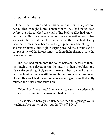to a start down the hall.

 Once, when Lauren and her sister were in elementary school, her mother brought home a man whom they had never seen before, but who touched the small of her back as if he had known her for a while. They were seated on the same leather couch, her sister with homework perched on her lap as they watched Disney Channel. It must have been about eight p.m. on a school night she remembered a dusky glow seeping around the curtains and a couple of rays of the fluorescent streetlamp light glaring across the television screen.

 The man had fallen onto the couch between the two of them, his rough arms splayed across the backs of their shoulders and his t-shirt smelling of cigarette smoke and beer, a smell that had become familiar but was still intangible and somewhat unknown. Her mother switched the radio on to a slow reggae song that softly muffled the noise of the television.

 "Mom, I can't hear now." She reached towards the coffee table to pick up the remote. The man grabbed her wrist.

 "This is classic, baby girl. Much better than this garbage you're watching. As a matter of fact, cut the TV off, Ellen."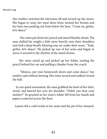*Hannah Long*

Her mother switched the television off and turned up the stereo. She began to sway, her maxi dress loose around her breasts and her bare toes peeking out from below the hem. "Come on, girlies, let's dance."

 Her sister put down her pencil and stared blankly ahead. The man shifted his weight a little more heavily onto their shoulders and took a deep breath, blowing sour air under their noses. "Yeah, girlies, let's dance." He picked up one of her arms and began to move it around to the rhythm of the metal drums.

 Her sister stood up and picked up her folder, tucking the pencil behind her ear and pulling a blanket from the couch.

 "Monica, put your homework down and come dance," her mother said without slowing. Her sister turned and walked toward the hall.

 In one quick movement, the man grabbed the back of her shirt, stood, and heaved her over his shoulder. "Didn't you hear your mother?" he grunted as her sister's folder fell from her hands and papers scattered across the floor.

Lauren felt a cold trickle in her arms and the pit of her stomach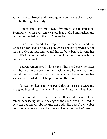as her sister squirmed, and she sat quietly on the couch as it began to pulse through her body.

Monica said, "Put me down," five times as she squirmed. Eventually her scrawny ten-year-old legs bucked and kicked and her fist connected with the man's lower back.

 "Fuck," he roared. He dropped her immediately and she landed on her back on the carpet, where she lay sprawled as the man growled in rage and wound his leg back before kicking her hard. His foot connected with the side of her body and she broke out in a hoarse wail.

 Lauren remembers finding herself hunched over her sister with her face in the crook of her neck, where hot wet tears and fearful sweat soaked her hairline. She wrapped her arms over her sister's body, curled in a fetal position on the floor.

 "I hate her," her sister whispered through gasps of tears and struggled breathing. "I hate her, I hate her, I hate her, I hate her."

 She doesn't remember if her mother could hear, but she remembers seeing her on the edge of the couch with her head in between her knees, sobs racking her body. She doesn't remember how the man got out, but she likes to picture her mother's fists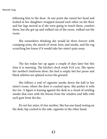#### *Hannah Long*

following him to the door. At one point she raised her head and looked at her daughters wrapped around each other on the floor and her legs moved as if she were going to touch them, comfort them, but she got up and walked out of the room. walked out the room.

She remembers thinking she would lie there forever with cramping arms, the stench of sweat, beer, and smoke, and the rug scratching her knees if it would take her sister's pain away.

The fan wakes her up again a couple of days later but this time it is morning. The kitchen clock reads 9:24 a.m. She opens her mother's bedroom door; the bed is empty but her purse and black stilettos are splayed across the ground.

She follows a trail of cigarette smoke down the hall to her sister's room, where the door is cracked open. She pushes it with her toe. A figure is leaning against the desk in a cloud of swirling smoke that rises with the breeze from the window and falls with each gust from the fan.

It's not her sister, it's her mother. She has one hand resting on the desk, hip cocked to the side, cigarette in the other hand.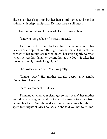She has on her sleep shirt but her hair is still tamed and her lips stained with crisp red lipstick. Her mascara is still intact.

Lauren doesn't want to ask what she's doing in here.

"Did you just get back?" she asks instead.

 Her mother turns and looks at her. The expression on her face sends a ripple of cold through Lauren's veins. It is blank, the corners of her mouth are turned down, her eyes slightly warmed when she sees her daughter behind her at the door. It takes her too long to reply. "Yeah, long night."

She crosses her arms. "You look pretty."

"Thanks, baby." Her mother exhales deeply, gray smoke hissing from her mouth.

There is a moment of silence.

 "Remember when your sister got so mad at me," her mother says slowly, struggling slightly to get the words to move from behind her teeth, "and she said she was running away, but she just spent four nights at Arie's house, and she told you not to tell me?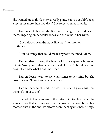She wanted me to think she was really gone. But you couldn't keep a secret for more than two days." She forces a quiet chuckle.

 Lauren shifts her weight. She doesn't laugh. The cold is still there, lingering on her collarbones and the veins in her wrists.

"She's always been dramatic like that," her mother continues.

"You do things that could make anybody that mad, Mom."

Her mother pauses, the hand with the cigarette hovering midair. "And you've always been critical like that." She takes a long drag. "I wonder what I did this time."

 Lauren doesn't want to say what comes to her mind but she does anyway. "I don't know where she is."

 Her mother squints and wrinkles her nose. "I guess this time the joke's on you, too."

The cold in her veins erupts the tiniest bit into a hot flame. She wants to say that she's wrong, that the joke will always be on her mother; that in the end, it's always been them against her. Always.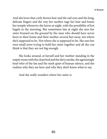And she loves that curly brown hair and the sad eyes and the long, delicate fingers and the way her mother tugs her hair and kisses her temple whenever she leaves at night, with the possibility of hot bagels in the morning. But sometimes late at night she sees her sister bruised on the ground by the man who should have never been in their home and their mother several feet away, not where she's supposed to be. Not where she is supposed to be. She sees her own small arms trying to hold her sister together and all she can think is that they are not big enough.

She looks around, at herself and her mother standing in the empty room with the clean bed and the dirty smoke, the agonizingly loud whir of the fan and the stark quiet of human silence, and she realizes why they are here and why they don't know what to say.

And she really wonders where her sister is.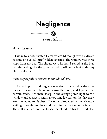# Negligence



*Assess the scene.*

 I woke to a pot's shatter. Harsh voices I'd thought were a dream became one voice's grief-ridden screams. The window was three steps from my bed. The shouts were farther. I stared at the blue curtain, feeling like the glass behind it, still and silent under my blue comforter.

#### *If the subject fails to respond to stimuli, call 911.*

 I stood up, tall and fragile – seventeen. The window drew me forward, naked feet tiptoeing across the floor, and I pulled the curtain aside. Two men, sharp in the orange porch light were a window and a street's width away. One lay still on the driveway, arms pulled up to his chest. The other pirouetted in the driveway, wailing through limp hair and the thin lines between his fingers. The still man was too far to see the blood on his forehead. The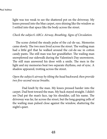light was too weak to see the shattered pot on the driveway. My knees pressed into the blue carpet, eyes shining like the window as I settled into that space like the body across the street.

#### *Check the subject's ABCs: Airway, Breathing, Signs of Circulation.*

 The scene clotted the steady pulse of the cul-de-sac. Memories came slowly. The two men lived across the street. The wailing man had a little girl that he walked around the cul-de-sac in cotton candy pants. The still man was her grandfather. The wailing man snowplowed our sidewalk during the Valentine's Day snowstorm. The still man answered his door with a smile. The men in the light and my memories beat two separate rhythms, out of sync. A shadow appeared, trotting across the street.

#### *Open the subject's airway by tilting the head backward; then provide two five-second rescue breaths.*

 Dad knelt by the man. My knees pressed harder into the carpet. Dad bent toward the man. My back stayed straight. I didn't see Dad pat the man's face, tap his shoulder, call his name. The driveway was far, far across the street, but the long gasping yells of the wailing man pulsed close against the window, shattering the night's quiet.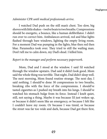#### *Administer CPR until medical professionals arrive.*

I watched Dad push on the still man's chest. Too slow, big shoves with little shakes – twelve beats to two breaths. Compressions should be energetic, a bounce, like a human defibrillator. I didn't run over to correct him. Ambulances arrived, red and blue lights flashed through bare windows, lighting the empty living room. For a moment Dad was pumping in the lights, blue then red then blue. Paramedics took over. They tried to still the wailing man. Don't tell me to calm down, my Dad's dead. I killed him.

#### *Report to the manager and perform necessary paperwork*.

Mom, Dad and I stood at the window. I said I'd watched through the window upstairs. Dad said it didn't look good. Mom said the whole thing was terrible. That night, Dad didn't sleep well. The next morning, Mom found routine strange. The next day, I said nothing. I should've done 30 compressions to two breaths, breaking ribs with the force of the compressions. I should've tasted cigarettes as I pushed my breath into his lungs. I should've watched his stomach bulge from its force. Instead I knelt quiet, still, not saying a thing. Maybe it was because I'd just woken up, or because it didn't seem like an emergency, or because I felt like I couldn't leave my room. Or because I was timid, or because the street was far too wide and dark, because Dad got there first,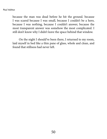#### *Paul Ashton*

because the man was dead before he hit the ground. because I was scared because I was small, because I couldn't be a hero, because I was nothing, because I couldn't answer, because the most transparent answer was somehow the most complicated. I still don't know why I didn't leave the space behind that window.

On the night I should've been there, I returned to my room, laid myself in bed like a thin pane of glass, whole and clean, and found that stillness had never left.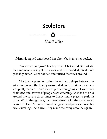## Sculptors



### *Heidi Billy*

Miranda sighed and shoved her phone back into her pocket.

 "So, are we going—?" her boyfriend Chet asked. She sat still for a moment, staring at her knees, and then nodded, "Yeah, we'd probably better." Chet nodded and turned the truck around.

 The town square, or rather the odd star-shape between the art museum and the library surrounded on three sides by streets, was pretty packed. Three ice sculptors were going at it with their chainsaws and crowds of people were watching. Chet had to drive around the square three times to finally find a place to park his truck. When they got out, they were blasted with the negative-ten degree chill and Miranda shoved her green and pink scarf over her face, clutching Chet's arm. They made their way onto the square.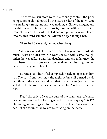*Heidi Billy*

 The three ice sculptors were in a friendly contest, the prize being a pot of chili donated by the Ladies' Club of the town. One was making a train, another was making a Chinese dragon, and the third was making a man, of sorts, standing with an arm out in front of his face. It wasn't detailed enough yet to make out. It was towards this third sculptor that Miranda began to tug Chet.

"There he is," she said, pulling Chet along.

 Yas Begay looked older than his forty-five years and didn't talk much. What he didn't say with words he said with a saw, though, unless he was talking with his daughter, and Miranda knew the man better than anyone else— better than her cheating mother, better than anyone in his life.

 Miranda still didn't feel completely ready to approach him yet. The cuts from their fight the night before still burned inside her, though she knew deep down that the cuts were justified. She sidled up to the rope barricade that separated Yas from everyone else.

 "Dad," she called. Over the buzz of the chainsaws, of course he couldn't hear her. His hearing wasn't that good anyway. "DAD!" She said again, waving a mittoned hand. He still didn't acknowledge her, but she assumed he was concentrating on the statue.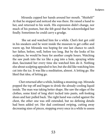Miranda cupped her hands around her mouth. "Shizhé'é!" At that he stopped and noticed she was there. He raised a hand to her, and returned to his work. His expression didn't change, nor much of his posture, but she felt good that he acknowledged her finally. Sometimes he could carry a grudge.

 She sat and watched him for a while. Chet's feet got cold in his sneakers and he went inside the museum to get coffee and warm up, but Miranda was hoping for one last chance to catch her father, before, well, before too long. But by the looks of his sculpture, he would be busy for another couple hours. Watching the saw push into the ice like a peg into a hole, spraying white dust, fascinated her every time she watched him do it. Nothing else about sculpting appealed to her, but she did like watching him cut into the ice. It was like a meditation, almost. A letting go. She liked that idea, of letting go.

Chet returned after a while, holding a steaming cup. Miranda popped the top off and began to drink the already-cooling liquid inside. The man was taking better shape. She saw the edges of the clothes, some kind of long shirt tucked into pants, soft-looking shoes and hair pulled back. The right hand was curled against the chest, the other one was still extended, but no defining details had been added yet. Her dad continued swiping, cutting away decreasing sizes of pieces, stopping every once in a while to assess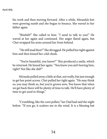*Heidi Billy*

his work and then moving forward. After a while, Miranda's feet were growing numb and she began to bounce. She waved to her father again.

"Shizhé'é!" She called to him. "I need to talk to you!" He waved at her again and continued. Her anger flared again, but Chet wrapped his arms around her from behind.

 "He still mad then?" She shrugged. He pulled her tight against him and then kissed her cold cheek.

 "You're beautiful, you know?" This produced a smile, which he returned. He kissed her again. "You know you ain't leaving him, right? Not like she did?"

Miranda pulled away a little at that, not really, but just enough to get her point across. Chet pulled her tight again. "He may think so, you may think so, but you're grown now. You know that when we get back there will be plenty of time to talk. He'll have plenty of time to get used to things."

"Crumbling, like the corn pollen," her Dad had said the night before. "If you go, it scatters me to the wind. It is a blessing but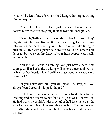what will be left of me after?" She had hugged him tight, willing him to be quiet.

"You will still be left, Dad. Just because change happens doesn't mean that you are going to float away like corn pollen."

"Crumble," he'd said. "I said I would crumble, I am crumbling." Fighting with him was like fighting with a sad dog. He stuck claws into you on accident, and trying to hurt him was like trying to hurt an oak tree with a penknife. Sure you could do some visible damage, but you couldn't know if your little swipes were really getting to him.

 "Shizhé'é, you aren't crumbling. You just have a hard time coping. We'll be back. The wedding will be on Sunday and we will be back by Wednesday. It will be like we just went on vacation and came back."

 "But you'll stay with him, you will move-" he stopped. "You always floated around. I hoped, I hoped-"

55 that Miranda wasn't more stung by this was because she knew it Chet's family was paying for them to come to Montana for the wedding and had offered to pay for Yas to go as well. He'd refused. He had work, he couldn't take time off or he'd lose his job at the wire factory and his savings wouldn't save him. The only reason was true.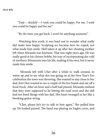*Heidi Billy*

 "Dad— shizhé'é —I wish you could be happy. For me. I wish you could be happy and for me."

"By the time you get back, I won't be anything anymore."

 Watching him work, it was hard not to wonder what really did make him happy. Sculpting ice became how he coped, not what made him smile. He'd taken it up after her cheating mother left when Miranda was fourteen. That was eight years ago. He was really good at his chosen hobby, his way of incorporating the cold of northern Minnesota into his life, making it his own, but it never made him smile.

 Miranda left with Chet after a while to walk around, to warm up and to see what else was going on at the New Year's Eve celebration the town was throwing. She wanted to stay close to her dad, but Chet wanted to see a couple of the live bands and eat off a food truck. After an hour and a half had passed, Miranda realized that they were supposed to be hitting the road soon and she still had not fixed things with her dad. Her heart twanged in her like a breaking guitar string.

"Chet, please let's try to talk to him again." She pulled him up. He looked pained. The band was playing an Eagles cover, and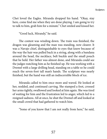Chet loved the Eagles. Miranda dropped his hand. "Okay, stay here, come find me when they are done playing. I am going to try to talk to him, grab him for a minute." Chet smiled and kissed her.

"Good luck, Mirandy," he said.

The contest was winding down. The train was finished, the dragon was gleaming and the man was standing, now clearer. It was a Navajo chief, distinguishable to eyes that knew because of the way the hair was pulled back in a string, along with a bandana around the head, the necklace, belt buckle and the small pouch that he held. Her father was almost done, and Miranda could see the judges watching him as he finished up. He was working with a Dremel with a large drilling head, standing on a table so he could reach the seven-foot tall man's hands. The sculpture was nearly finished, but the hand was still an indiscernible block of ice.

Miranda called to him once more and waved. He looked at her, nodded, and continued carving. She stamped a foot, crossed her arms tightly, swallowed and looked at him again. She was tired of waiting for him and the frustration led to anger, which led to a resigned sadness. All at once, he shut the Dremel off and looked at the small crowd that had gathered to watch him.

"Some of you know that I am not really from here," he said,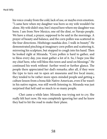his voice croaky from the cold, lack of use, or maybe even emotion. "I came here when my daughter was born so my wife wouldn't be alone. My wife didn't stay, but I stayed here where my daughter was born. I am from New Mexico, one oif the diné, or Navajo people. We have a ritual, a prayer, supposed to be said in the mornings. A prayer of beauty and balance, and the corn pollen was scattered in the four directions. Hózhóogo naasháa doo. I walk in beauty." He demonstrated pinching at imaginary corn pollen and scattering it, mirroring his sculpture, but stopped to cough into his hand. Then he looked right at Miranda. "Corn pollen is hard to gather, and to bless every day, you must gather a lot of it. So, I hope you like my chief here, who will bless this town and send on blessings." He continued his work without further word or further glance. The people there appreciated her dad's remarks; after all, if they were the type to turn out to open art museums and live local music, they tended to be rather more open-minded people and getting a culture lesson from a bona fide Native American, even if he wasn't in his native region, was still worth listening to. Miranda was just surprised that he'd said so much to so many people.

Chet came a while later. Miranda was trying not to cry. She really felt hurt now. He was completely ignoring her and he knew they had to hit the road to make their plane.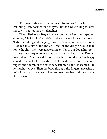"I'm sorry, Miranda, but we need to go now." Her lips were trembling, tears formed in her eyes. Her dad was willing to bless this town, but not his own daughter?

Chet called to Yas Begay but was ignored. After a few repeated attempts, Chet took Miranda's hand and began to lead her away. Night was falling and the judges were working out their decisions. It looked like either the Indian Chief or the dragon would take home the chili, they were just waiting on Yas to put down his tools.

As they began to walk away, Miranda heard the Dremel power down. She turned to look over her shoulder as Yas Begay leaned over to look through the hole made between the carved fingers and thumb of the extended, sculpted hand. It seemed like he caught her eye. Then, he blew through the fingers, releasing a puff of ice dust, like corn pollen, to float over her and the crowds of the town.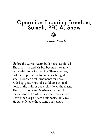## Operation Enduring Freedom, Somali, PFC A. Shaw

*Nicholas Finch*

 $\bullet$   $\bullet$   $\bullet$ 

Before the Corps, Adam built boats. Deployed— The dick-stick and Ka-Bar become the same two useless tools for fucking. There's no war, just hands pierced onto branches, hung like small bloodied flesh ornaments for décor. Kids beg, gesturing stubs. Soldiers put small holes in the hulls of boats, slits down the masts. The boats soon sink. Marines watch until the sails look like white flags, half-mast at sea. Before the Corps Adam built boats. On leave— He can only take those same boats apart.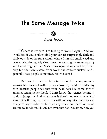## The Same Message Twice



### *Ryan Inkley*

"Where is my car?" I'm talking to myself. Again. And you would too if you couldn't find your car. It's surprisingly dark and chilly outside of the full stadium where I can still smell weed and hear music playing. My sister texted me saying it's an emergency and I need to go get her. She's over-exaggerating about boyfriend crap but the tickets were from work, the concert sucked, and I generally hate people sometimes. So who cares?

 But now I swear I've been in this lot for twenty minutes looking like an idiot with my key above my head or under my chin because people say that your head acts like some sort of antenna strengthener. Look, I don't know the science behind it so don't judge me. And what sucks is there's not even a benefit of wandering through all these cars without any nice ones for eye candy. I'd say this day couldn't get any worse but there's no wood around to knock on. Plus it's not even that bad. You know how you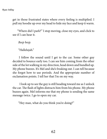*Ryan Inkley*

get in those frustrated states where every feeling is multiplied. I pull my hoodie up over my head to hide my face and keep it warm.

 "Where did I park?" I stop moving, close my eyes, and click to see if I can hear it.

*Beep beep.*

"Hallelujah."

 I follow the sound until I get to the car. Some other guy decided to bounce early too. I can see him coming from the other side of the lot walking in my direction, head down and bundled up. My phone buzzes. It's Mel and she's freaking out. I can tell because she forgot how to use periods. And the appropriate number of exclamation points. I tell her that I'm on my way.

 I look up to see the guy is still heading toward me as I unlock the car. The flash of lights distracts him from his phone. My phone buzzes again. Mel informs me that my phone is sending the same message twice. I go to open my car.

"Hey man, what do you think you're doing?"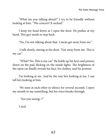"What are you talking about?" I try to be friendly without looking at him. "The concert? It sucked."

I keep my head down as I open the door. He pushes at my hand. This guy needs to step back.

"No, I'm not talking about that. I mean get away from me."

 I talk slowly, staring at the door. "Get away from me. This is my car."

 "What? No. This is my car." He holds up his keys and presses down on the pad, flicking on the inside lights. The brightness of the open car finally reveals his face, his clothes, and his posture.

I'm looking at me. And by the way he's looking at me, I can tell he's looking at him.

 We stare at each other in silence for several seconds. I open my mouth to say something, but his voice breaks through.

"Are you seeing–?"

I nod.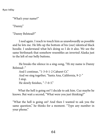*Ryan Inkley*

"What's your name?"

"Danny."

"Danny Belstead?"

I nod again. I reach to touch him as unawkwardly as possible and he lets me. He lifts up the bottom of his (our) identical black hoodie. I understand what he's doing so I do it also. We see the same birthmark that somehow resembles an inverted Alaska just to the left of our belly buttons.

 He breaks the silence in a sing-song, "Hi my name is Danny Belstead–"

And I continue, "1-3-0-1-2 Cabaret Ct." And we sing together, "Santa Ana, California, 9-2-" I stop. He slowly finishes, "-7-0-5."

 What the hell is going on? I decide to ask him. Cuz maybe he knows. But wait a second, "What were you just thinking?"

"What the hell is going on? And then I wanted to ask you the same question," he thinks for a moment. "Type any number in your phone."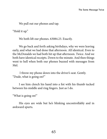We pull out our phones and tap.

"Hold it up."

We both lift our phones. 63084.23. Exactly.

We go back and forth asking birthdays, why we were leaving early, and what we had done that afternoon. All identical. Even to the McDonalds we had both hit up that afternoon. Twice. And we both have identical receipts. Down to the minute. And then things went to hell when both our phones buzzed with messages from Mel.

 I throw my phone down into the driver's seat. Gently. "Dude, what is going on?"

 I see him clench his hand into a fist with his thumb tucked between his middle and ring fingers. Just as I do.

"What is going on!"

His eyes are wide but he's blinking uncontrollably and in awkward spurts.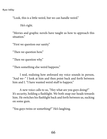*Ryan Inkley*

"Look, this is a little weird, but we can handle weird."

He's right.

"Movies and graphic novels have taught us how to approach this situation."

"First we question our sanity."

"Then we question how."

"Then we question why."

"Then something else weird happens."

 I nod, realizing how awkward my voice sounds in person, "And we–" I look at him and then point back and forth between him and I. "I have wanted weird stuff to happen."

 A new voice calls to us, "Hey what are you guys doing?" It's security, holding a flashlight. We both snap our heads towards him. He switches his flashlight back and forth between us, sucking on some gum.

"You guys twins or something?" He's laughing.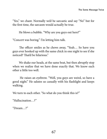"Yes," we chant. Normally we'd be sarcastic and say "No" but for the first time, the sarcasm would actually be true.

He blows a bubble. "Why are you guys out here?"

"Concert was boring." I'm letting him talk.

 The officer smiles as he chews away, "Yeah… So have you guys ever hooked up with the same chick in one night to see if she noticed? That'd be hilarious."

 We shake our heads, at the same beat, but then abruptly stop when we realize that we have done exactly that. We know each other a little too well.

 He raises an eyebrow. "Well, you guys are weird, so have a good night." He salutes us casually with his flashlight and keeps walking.

We turn to each other. "So what do you think this is?"

"Hallucination…?"

"Dream…?"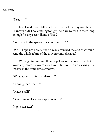*Ryan Inkley*

"Drugs…?"

 Like I said, I can still smell the crowd all the way over here. "I know I didn't do anything tonight. And we weren't in there long enough for any secondhand effects."

"So… Rift in the space-time continuum…?"

"Well I hope not because you already touched me and that would send the whole fabric of the universe into disarray."

We laugh in sync and then stop. I go to clear my throat but to avoid any more awkwardness, I wait. But we end up clearing our throats at the same time anyways.

"What about… Infinity mirror…?"

"Cloning machine…?"

"Magic spell?"

"Governmental science experiment…?"

"A plot twist…?"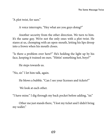"A plot twist, for sure."

A voice interrupts, "Hey what are you guys doing?"

 Another security from the other direction. We turn to him. It's the same guy. We're not the only ones with a plot twist. He stares at us, chomping with an open-mouth, letting his lips droop into a frown when his mouth closes.

"Is there a problem over here?" He's holding the light up by his face, keeping it trained on ours. "Hittin' something hot, boys?"

He steps towards us.

"No, sir." I let him talk, again.

He blows a bubble. "Can I see your licenses and tickets?"

We look at each other.

"I have mine." I dig through my back pocket before adding, "sir."

 Other me just stands there, "I lost my ticket and I didn't bring my wallet."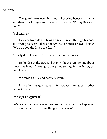*Ryan Inkley*

 The guard looks over, his mouth hovering between chomps and then rolls his eyes and surveys my license. "Danny Belsteed, huh?"

"Belstead, sir."

He steps towards me, taking a raspy breath through his nose and trying to seem taller although he's an inch or two shorter, "Who do you think you are, kid?"

"I really don't know, sir." I've never been more honest.

 He holds out the card and then without even looking drops it over my hand. "If you guys are gonna stay, go inside. If not, get out of here."

We force a smile and he walks away.

Even after he's gone about fifty feet, we stare at each other before talking.

"What just happened?"

"Well we're not the only ones. And something must have happened to one of them that set something wrong, amiss."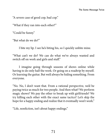"A severe case of good cop, bad cop."

"What if they ran into each other?"

"Could be funny."

"But what do we do?"

I bite my lip. I see he's biting his, so I quickly unbite mine.

"What can't we do? We can do what we've always wanted and switch off on work and girls and stuff."

 I imagine going through seasons of shows online while having to do only half the work. Or going on a roadtrip by myself. Or learning the guitar. But we'd always be hiding something. From everyone.

"No. No, I don't want that. From a rational perspective, we'd be paying twice as much for two people. And then what? We perform magic shows? We pay the other to break up with girlfriends? We try killing each other with the exact same tactics? Let's skip the hope for a happy ending and realize that it eventually won't work."

"Life, nonfiction, isn't about happy endings."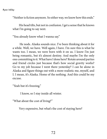*Ryan Inkley*

"Neither is fiction anymore. So either way, we know how this ends."

His head tilts, but not in confusion. I get a sense that he knows what I'm going to say next.

"You already know what I wanna say."

 He nods. Alaska sounds nice. I've been thinking about it for a while. Well, we have. Well again, I have. I'm sure this is what he wants too. I mean, we were born with it on us. I know I'm just being romantic, but it's almost destiny. And maybe I'm the only one committing to it. What have I done here? Rotate around parties and friend circles just because that's how social gravity works? Go to my job because I went there yesterday? I can be alone in Alaska and figure things out with a more realistic me, myself, and I. I mean, it's Alaska. Home of the nothing. And this could be my excuse.

"Yeah but it's freezing."

I know, so I stay inside all winter.

"What about the cost of living?"

Very expensive, but what's the cost of staying here?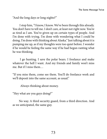"And the long days or long nights?"

 I stop him, "I know, I know. We've been through this already. You don't have to tell me. I don't care, at least not right now. You're as tired as I am. You've given up on certain types of people. And I'm done with trying. I'm done with wondering what I could be doing. I'm done with thinking about Alaska." Just talking about it is pumping me up, as if my thoughts were too quiet before. I wonder if he would be feeling the same way if he had begun ranting what he was thinking.

 I go hunting. I save the polar bears. I freelance and make whatever the hell I want. And my friends and family won't miss me. But if I miss them…

"If you miss them, come see them. You'll do freelance work and we'll deposit into the same account, as usual."

Always thinking about money.

"Hey what are you guys doing?"

 No way. A third security guard, from a third direction. And as we anticipated, the same guy.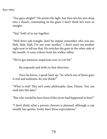"You guys alright?" He points the light, but then lets his arm drop into a slouch, ruminating on his gum. I don't think he's seen us tonight.

"Yep," both of us say together.

"Well drive safe tonight, don't be stupid, remember who you are, blah, blah, blah, I'm not your mother." I don't need my mother right now to tell me that. He switches the gum to the other side of his mouth. A voice echoes from his walkie-talkie.

"We've got someone suspicious over in Lot D4."

He responds and drifts in that direction.

 Once he leaves, I speak back up, "So which one of those guys is real and authentic do you think?"

"What is real? This isn't some philosophy class, Danny. You can read into this later."

"But who would he have been if this never had happened to him?"

"I don't think what a person chooses is planned, although a cop usually has quotas. Gotta meet those expectations."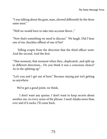"I was talking about the gum, man, chewed differently by the three same men."

"Well we would have to take into account flavor..."

"Now that's something we need to discuss." We laugh. Did I hear one of my chuckles offbeat of one of his?

 Yelling erupts from the direction that the third officer went. And the second. And the first.

"That moment, that moment when they...duplicated...and split up in different directions... Do you think it was a conscious choice? As in the splitting up."

"Let's you and I get out of here." Because staying put isn't getting us anywhere.

We've got a good point, we think.

 I don't want any quotas. I don't want to keep secrets about another me, in every sense of the phrase. I need Alaska more than ever and if it sucks, I'll come back.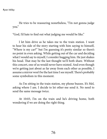He tries to be reassuring nonetheless, "I'm not gonna judge you."

"God, I'd hate to find out what judging me would be like."

I let him drive as he takes me to the train station. I want to hear his side of the story starting with him saying to himself, "Where is my car?" but I'm guessing it's pretty similar so there's no point in even asking. While getting out of the car and deciding what I would say to myself, I consider hugging him. He just shakes his head. That may be the last thought we'll both share. Without this concert, one of us would never have existed. And even though we're getting just about as far away from each other as possible, I assume a mirror won't be the last time I see myself. There's probably some symbolism in this moment.

As I'm sitting in the train station, my phone buzzes. It's Mel, asking where I am. I decide to let other-me send it. No need to send the same message twice.

At 10:03, I'm on the train and he's driving home, both wondering if we are doing the right thing.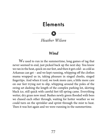## **Elements**

*Heather Wilson*

#### *Wind*

 We used to run in the summertime, long games of tag that never seemed to end, just picked back up the next day. You know we ran in the heat, quick on our feet, and then it got cold– as cold as Arkansas can get – and we kept running, whipping off the clothes mama wrapped us in, taking pleasure in singed cheeks, singed fingertips. And when it iced, we took more care, a little more care on our feet trying not to slip, whipping around the poles of the swing set dashing the length of the complex parking lot, skirting black ice, still quick with careful feet till spring came. Everything wetter, dry grass now mud. Bushes newly green flooded with bees we chased each other through, waiting for hotter weather so we could turn on the sprinkler and sprint through the mist to heat. Then it was hot again and we were running in the summertime.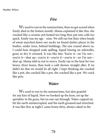#### *Fire*

We used to run in the summertime, then we got scared when Emily died in the hottest month. Mama explained it like this: she cracked like a ceramic pot heated too long then put into cold too quick. Emily was my age – nine. We still ran but then when beads of sweat marched down our necks we found darker places in the bushes, under trees, behind buildings. The sun craned above us. I could hear dropped soda spilling, liquid hissing on sidewalks, grass so dry it crooned. It was like this: You're it—no I'm not you're it—shut up—you're it—you're it—you're it—no I'm not shut up. Mama told us not to worry. Emily ran in the heat for two hours, three hours, then took a cold shower straight after. If we didn't do that we would be all right. I kept thinking she cracked like a pot, she cracked like a pot, she cracked like a pot. We crack like pots.

#### *Water*

We used to run in the summertime, hot skin grateful for any kiss of liquid. Now we hooked up the hose, set up the sprinkler in the grass, but no one ran through. Water cupped air, hit the earth uninterrupted, and the earth groaned and stretched. It was like this: at night I came home dirty, always caked in the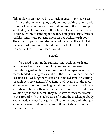filth of play, scuff marked by day, reek of grass in my hair. I sat in front of the fan, feeling my body cooling, waiting for my body to cool while mama cooked liver and onions in the cast iron pot and boiling water for pasta in the kitchen. Then I'd bathe. Then I'd think. Of Emily standing in the tub, skin glazed, ripe, freckled, red like mine, water pouring down on her packed earth body. The water slipped around the angles of my body like a blanket, turning murky with my filth. I did not crack like a pot like I feared, like I feared, like I fear I would.

### *Earth*

We used to run in the summertime, packing earth and grass beneath our heavy trampling feet. Sometimes we cut through the garden, the one out in front of our apartment that mama tended, raising roses gentle in the fierce summer, and she'd yell after us – wishing thorn cuts on our naked shins for cutting through her roses gentle. After Emily died, Mama cut the roses – all twelve red blooms unfurling or half unfurled – and tied them with string. She gave them to the mother, poor like the rest of us. We didn't go to the funeral. They must have thrown the flowers in the ground with the nailed up coffin and the cracked pot body. Mama made me weed the garden all summer long and I thought about gone roses and gone me, and I thought about running in the summertime.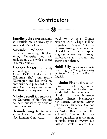# **Contributors**

Timothy Schreiner is a junior at Westfield State University in Westfield, Massachusetts.

Miranda Winger is currently attending Brigham Young University and will graduate in 2015 with a degree in Family Studies.

Eleanor Stelter is currently an undergraduate student at Azusa Pacific University in California. She's from Seattle, Washington and her work has previously been published in The West Wind literary magazine and The Bastion literary magazine.

Nikole Jewell is a student at the University of Hartford and has been published by Aerie on three occasions.

Hannah Long is a freshman at the University of Miami from New London, Connecticut.

Paul Ashton is a Chinese major at UNC Chapel Hill set to graduate in May 2015. UNC's Creative Writing department has offered him a chance to explore language in new ways, through performance art, fiction, and creative non-fiction.

Heidi Billy is set to graduate from Brigham Young University in August 2015 with a B.A. in English.

Nicholas Finchis the assistant editor of Neon Literary Journal. He was raised in England and South Africa before moving to Florida. His major influences include Ernest Hemingway, Ben Lerner, Raymond Carver, John Keats, Flannery O'Connor, Rudy Wilson, Cormac McCarthy, Bret Easton Ellis, and Akiko Yosano. Finch has pieces published or forthcoming in Haiku Journal, Wyvern Lit, Catfish Creek, Foliate Oak